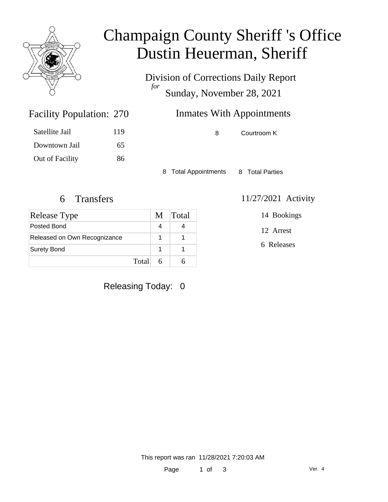

## Champaign County Sheriff 's Office Dustin Heuerman, Sheriff

Division of Corrections Daily Report *for* Sunday, November 28, 2021

| 270 | <b>Inmates With Appointments</b> |  |  |
|-----|----------------------------------|--|--|
| 119 | Courtroom K                      |  |  |

Satellite Jail 119 Downtown Jail 65 Out of Facility 86

Facility Population: 270

8 Total Appointments 8 Total Parties

| Release Type                 | M | <b>Total</b> |
|------------------------------|---|--------------|
| Posted Bond                  |   |              |
| Released on Own Recognizance |   |              |
| <b>Surety Bond</b>           |   |              |
| Total                        |   |              |

### Releasing Today: 0

#### 6 Transfers 11/27/2021 Activity

14 Bookings

12 Arrest

6 Releases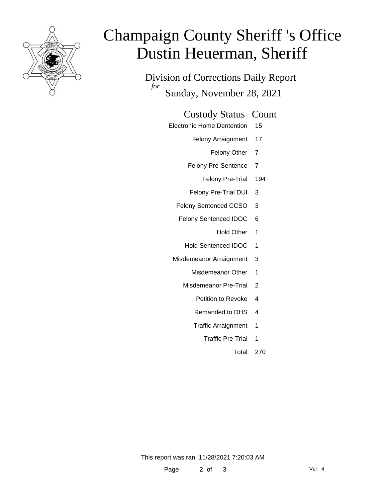

# Champaign County Sheriff 's Office Dustin Heuerman, Sheriff

Division of Corrections Daily Report *for* Sunday, November 28, 2021

#### Custody Status Count

- Electronic Home Dentention 15
	- Felony Arraignment 17
		- Felony Other 7
	- Felony Pre-Sentence 7
		- Felony Pre-Trial 194
	- Felony Pre-Trial DUI 3
	- Felony Sentenced CCSO 3
	- Felony Sentenced IDOC 6
		- Hold Other 1
		- Hold Sentenced IDOC 1
	- Misdemeanor Arraignment 3
		- Misdemeanor Other 1
		- Misdemeanor Pre-Trial 2
			- Petition to Revoke 4
			- Remanded to DHS 4
			- Traffic Arraignment 1
				- Traffic Pre-Trial 1
					- Total 270